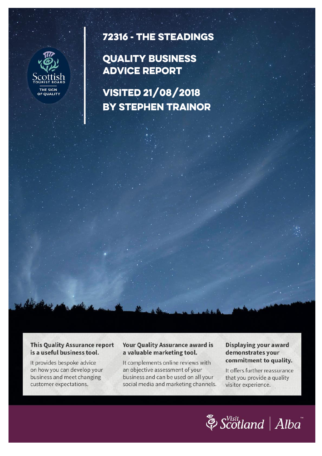

# 72316 - THE STEADINGS

## **QUALITY BUSINESS ADVICE REPORT**

**VISITED 21/08/2018 BY STEPHEN TRAINOR** 

**This Quality Assurance report** is a useful business tool.

It provides bespoke advice on how you can develop your business and meet changing customer expectations.

#### **Your Quality Assurance award is** a valuable marketing tool.

It complements online reviews with an objective assessment of your business and can be used on all your social media and marketing channels.

#### Displaying your award demonstrates your commitment to quality.

It offers further reassurance that you provide a quality visitor experience.

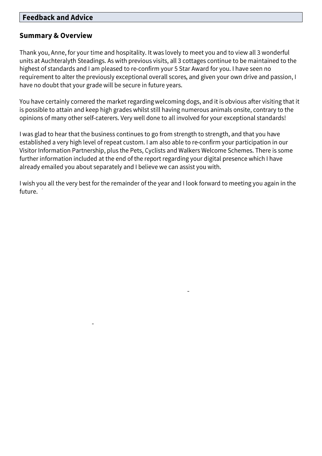### **Feedback and Advice**

### **Summary & Overview**

Thank you, Anne, for your time and hospitality. It was lovely to meet you and to view all 3 wonderful units at Auchteralyth Steadings. As with previous visits, all 3 cottages continue to be maintained to the highest of standards and I am pleased to re-confirm your 5 Star Award for you. I have seen no requirement to alter the previously exceptional overall scores, and given your own drive and passion, I have no doubt that your grade will be secure in future years.

You have certainly cornered the market regarding welcoming dogs, and it is obvious after visiting that it is possible to attain and keep high grades whilst still having numerous animals onsite, contrary to the opinions of many other self-caterers. Very well done to all involved for your exceptional standards!

I was glad to hear that the business continues to go from strength to strength, and that you have established a very high level of repeat custom. I am also able to re-confirm your participation in our Visitor Information Partnership, plus the Pets, Cyclists and Walkers Welcome Schemes. There is some further information included at the end of the report regarding your digital presence which I have already emailed you about separately and I believe we can assist you with.

I wish you all the very best for the remainder of the year and I look forward to meeting you again in the future.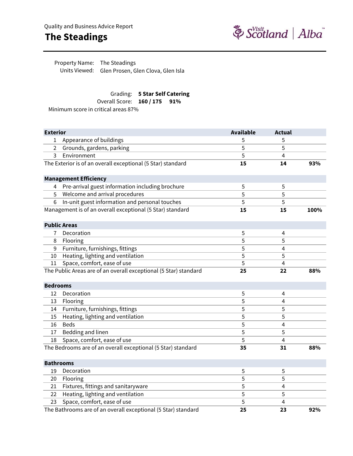## **The Steadings**



Units Viewed: Glen Prosen, Glen Clova, Glen Isla Property Name: The Steadings

### Grading: **5 Star Self Catering**

Overall Score: **160 / 175 91%**

Minimum score in critical areas 87%

| <b>Exterior</b>  |                                                                  | <b>Available</b> | <b>Actual</b>  |      |
|------------------|------------------------------------------------------------------|------------------|----------------|------|
| 1                | Appearance of buildings                                          | 5                | 5              |      |
| 2                | Grounds, gardens, parking                                        | 5                | 5              |      |
| 3                | Environment                                                      | 5                | $\overline{4}$ |      |
|                  | The Exterior is of an overall exceptional (5 Star) standard      | 15               | 14             | 93%  |
|                  |                                                                  |                  |                |      |
|                  | <b>Management Efficiency</b>                                     |                  |                |      |
|                  | 4 Pre-arrival guest information including brochure               | 5                | 5              |      |
| 5                | Welcome and arrival procedures                                   | 5                | 5              |      |
| 6                | In-unit guest information and personal touches                   | 5                | 5              |      |
|                  | Management is of an overall exceptional (5 Star) standard        | 15               | 15             | 100% |
|                  | <b>Public Areas</b>                                              |                  |                |      |
| 7                | Decoration                                                       | 5                | 4              |      |
| 8                | Flooring                                                         | 5                | 5              |      |
| 9                | Furniture, furnishings, fittings                                 | 5                | 4              |      |
| 10               | Heating, lighting and ventilation                                | 5                | 5              |      |
| 11               | Space, comfort, ease of use                                      | 5                | $\overline{4}$ |      |
|                  | The Public Areas are of an overall exceptional (5 Star) standard | 25               | 22             | 88%  |
| <b>Bedrooms</b>  |                                                                  |                  |                |      |
| 12               | Decoration                                                       | 5                | 4              |      |
| 13               | Flooring                                                         | 5                | 4              |      |
| 14               | Furniture, furnishings, fittings                                 | 5                | 5              |      |
| 15               | Heating, lighting and ventilation                                | 5                | 5              |      |
| 16               | <b>Beds</b>                                                      | 5                | 4              |      |
| 17               | Bedding and linen                                                | 5                | 5              |      |
| 18               | Space, comfort, ease of use                                      | 5                | $\overline{4}$ |      |
|                  | The Bedrooms are of an overall exceptional (5 Star) standard     | 35               | 31             | 88%  |
| <b>Bathrooms</b> |                                                                  |                  |                |      |
| 19               | Decoration                                                       | 5                | 5              |      |
| 20               | Flooring                                                         | 5                | 5              |      |
| 21               | Fixtures, fittings and sanitaryware                              | 5                | $\overline{4}$ |      |
| 22               | Heating, lighting and ventilation                                | 5                | 5              |      |
| 23               | Space, comfort, ease of use                                      | 5                | $\overline{4}$ |      |
|                  | The Bathrooms are of an overall exceptional (5 Star) standard    | 25               | 23             | 92%  |